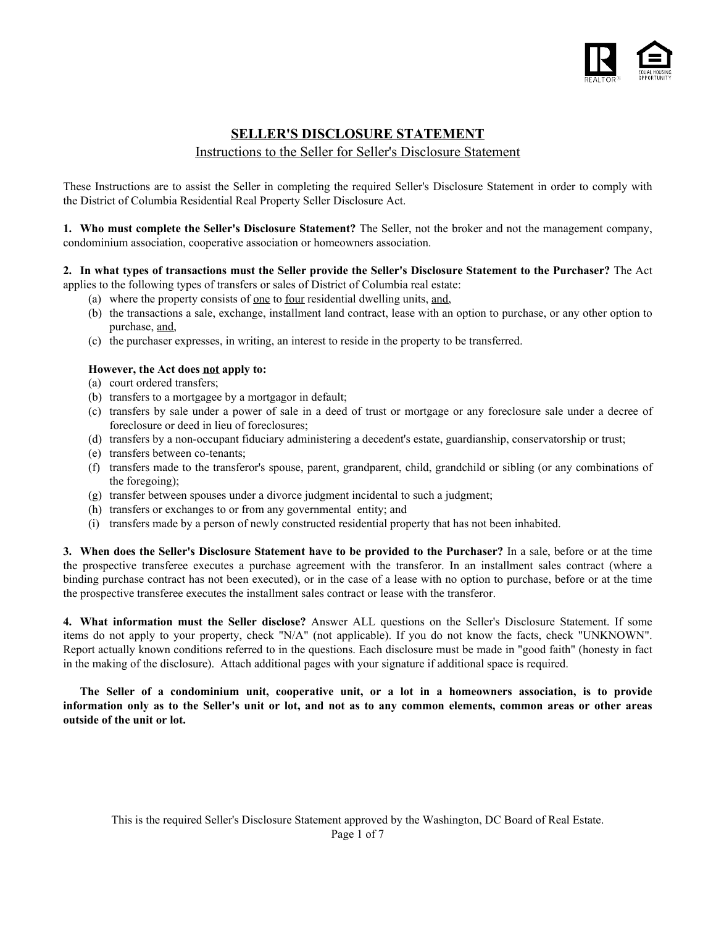

### **SELLER'S DISCLOSURE STATEMENT** Instructions to the Seller for Seller's Disclosure Statement

These Instructions are to assist the Seller in completing the required Seller's Disclosure Statement in order to comply with the District of Columbia Residential Real Property Seller Disclosure Act.

**1. Who must complete the Seller's Disclosure Statement?** The Seller, not the broker and not the management company, condominium association, cooperative association or homeowners association.

#### **2. In what types of transactions must the Seller provide the Seller's Disclosure Statement to the Purchaser?** The Act applies to the following types of transfers or sales of District of Columbia real estate:

- (a) where the property consists of one to four residential dwelling units, and,
	- (b) the transactions a sale, exchange, installment land contract, lease with an option to purchase, or any other option to purchase, and,
	- (c) the purchaser expresses, in writing, an interest to reside in the property to be transferred.

#### **However, the Act does not apply to:**

- (a) court ordered transfers;
- (b) transfers to a mortgagee by a mortgagor in default;
- (c) transfers by sale under a power of sale in a deed of trust or mortgage or any foreclosure sale under a decree of foreclosure or deed in lieu of foreclosures;
- (d) transfers by a non-occupant fiduciary administering a decedent's estate, guardianship, conservatorship or trust;
- (e) transfers between co-tenants;
- (f) transfers made to the transferor's spouse, parent, grandparent, child, grandchild or sibling (or any combinations of the foregoing);
- (g) transfer between spouses under a divorce judgment incidental to such a judgment;
- (h) transfers or exchanges to or from any governmental entity; and
- (i) transfers made by a person of newly constructed residential property that has not been inhabited.

**3. When does the Seller's Disclosure Statement have to be provided to the Purchaser?** In a sale, before or at the time the prospective transferee executes a purchase agreement with the transferor. In an installment sales contract (where a binding purchase contract has not been executed), or in the case of a lease with no option to purchase, before or at the time the prospective transferee executes the installment sales contract or lease with the transferor.

**4. What information must the Seller disclose?** Answer ALL questions on the Seller's Disclosure Statement. If some items do not apply to your property, check "N/A" (not applicable). If you do not know the facts, check "UNKNOWN". Report actually known conditions referred to in the questions. Each disclosure must be made in "good faith" (honesty in fact in the making of the disclosure). Attach additional pages with your signature if additional space is required.

**The Seller of a condominium unit, cooperative unit, or a lot in a homeowners association, is to provide information only as to the Seller's unit or lot, and not as to any common elements, common areas or other areas outside of the unit or lot.**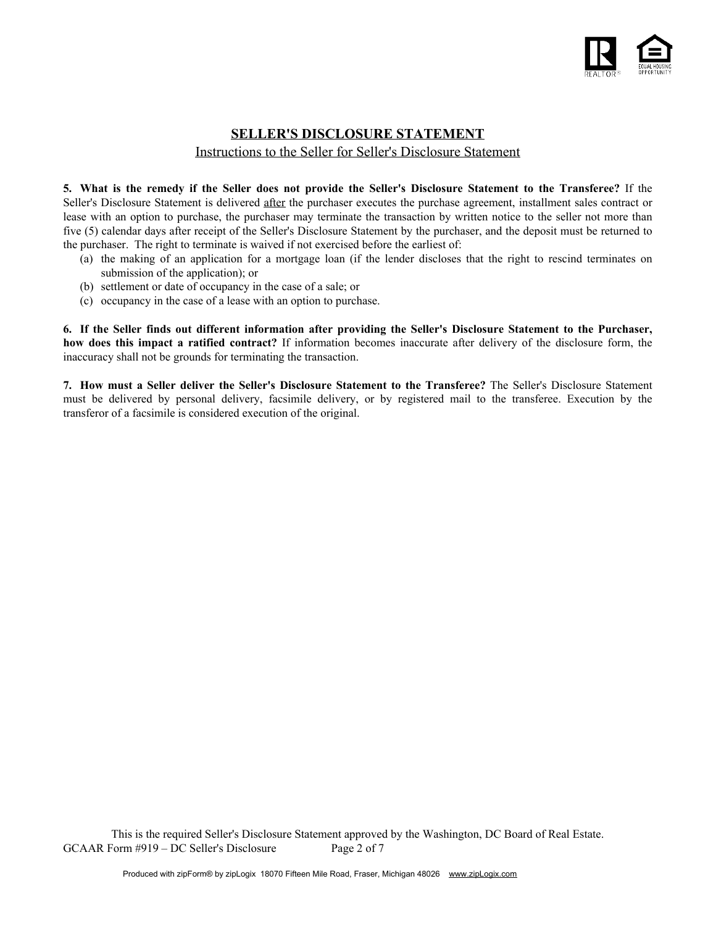

## **SELLER'S DISCLOSURE STATEMENT** Instructions to the Seller for Seller's Disclosure Statement

**5. What is the remedy if the Seller does not provide the Seller's Disclosure Statement to the Transferee?** If the Seller's Disclosure Statement is delivered after the purchaser executes the purchase agreement, installment sales contract or lease with an option to purchase, the purchaser may terminate the transaction by written notice to the seller not more than five (5) calendar days after receipt of the Seller's Disclosure Statement by the purchaser, and the deposit must be returned to the purchaser. The right to terminate is waived if not exercised before the earliest of:

- (a) the making of an application for a mortgage loan (if the lender discloses that the right to rescind terminates on submission of the application); or
- (b) settlement or date of occupancy in the case of a sale; or
- (c) occupancy in the case of a lease with an option to purchase.

**6. If the Seller finds out different information after providing the Seller's Disclosure Statement to the Purchaser, how does this impact a ratified contract?** If information becomes inaccurate after delivery of the disclosure form, the inaccuracy shall not be grounds for terminating the transaction.

**7. How must a Seller deliver the Seller's Disclosure Statement to the Transferee?** The Seller's Disclosure Statement must be delivered by personal delivery, facsimile delivery, or by registered mail to the transferee. Execution by the transferor of a facsimile is considered execution of the original.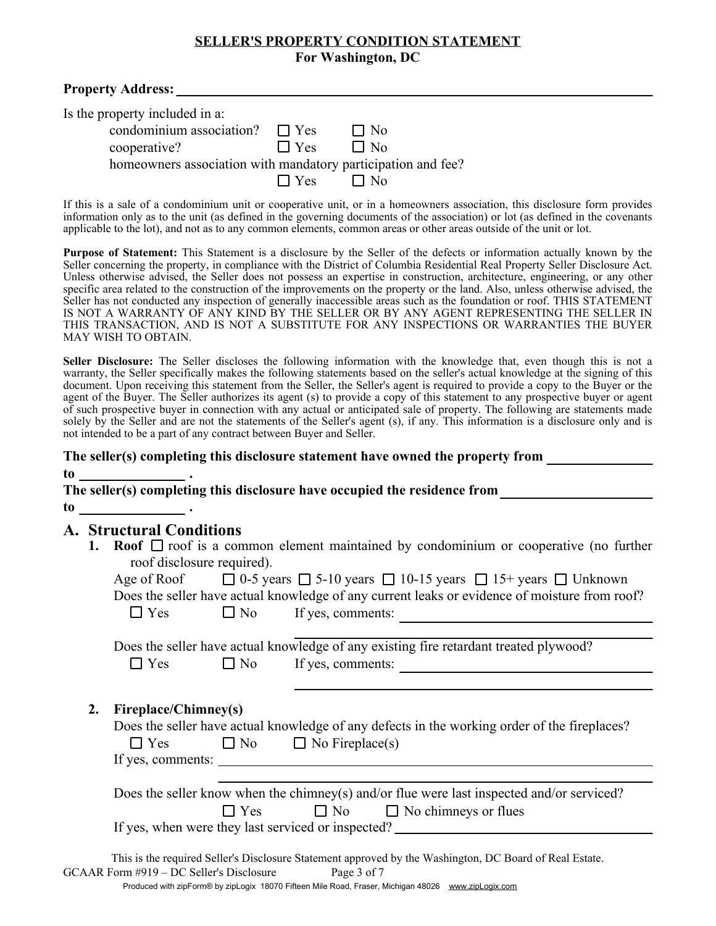### **SELLER'S PROPERTY CONDITION STATEMENT For Washington, DC**

| <b>Property Address:</b>                                                                                                                              |                                     |                                                                                                                                                                                                                                                                                                                                                                                                                                                                                                                                                                                                                                                                                                                                                                                                                                             |
|-------------------------------------------------------------------------------------------------------------------------------------------------------|-------------------------------------|---------------------------------------------------------------------------------------------------------------------------------------------------------------------------------------------------------------------------------------------------------------------------------------------------------------------------------------------------------------------------------------------------------------------------------------------------------------------------------------------------------------------------------------------------------------------------------------------------------------------------------------------------------------------------------------------------------------------------------------------------------------------------------------------------------------------------------------------|
| Is the property included in a:<br>condominium association? $\Box$ Yes<br>cooperative?<br>homeowners association with mandatory participation and fee? | $\Box$ Yes<br>$\Box$ Yes $\Box$ No  | $\Box$ No<br>$\Box$ No                                                                                                                                                                                                                                                                                                                                                                                                                                                                                                                                                                                                                                                                                                                                                                                                                      |
|                                                                                                                                                       |                                     | If this is a sale of a condominium unit or cooperative unit, or in a homeowners association, this disclosure form provides<br>information only as to the unit (as defined in the governing documents of the association) or lot (as defined in the covenants<br>applicable to the lot), and not as to any common elements, common areas or other areas outside of the unit or lot.                                                                                                                                                                                                                                                                                                                                                                                                                                                          |
| MAY WISH TO OBTAIN.                                                                                                                                   |                                     | <b>Purpose of Statement:</b> This Statement is a disclosure by the Seller of the defects or information actually known by the<br>Seller concerning the property, in compliance with the District of Columbia Residential Real Property Seller Disclosure Act.<br>Unless otherwise advised, the Seller does not possess an expertise in construction, architecture, engineering, or any other<br>specific area related to the construction of the improvements on the property or the land. Also, unless otherwise advised, the<br>Seller has not conducted any inspection of generally inaccessible areas such as the foundation or roof. THIS STATEMENT<br>IS NOT A WARRANTY OF ANY KIND BY THE SELLER OR BY ANY AGENT REPRESENTING THE SELLER IN<br>THIS TRANSACTION, AND IS NOT A SUBSTITUTE FOR ANY INSPECTIONS OR WARRANTIES THE BUYER |
| not intended to be a part of any contract between Buyer and Seller.                                                                                   |                                     | Seller Disclosure: The Seller discloses the following information with the knowledge that, even though this is not a<br>warranty, the Seller specifically makes the following statements based on the seller's actual knowledge at the signing of this<br>document. Upon receiving this statement from the Seller, the Seller's agent is required to provide a copy to the Buyer or the<br>agent of the Buyer. The Seller authorizes its agent (s) to provide a copy of this statement to any prospective buyer or agent<br>of such prospective buyer in connection with any actual or anticipated sale of property. The following are statements made<br>solely by the Seller and are not the statements of the Seller's agent (s), if any. This information is a disclosure only and is                                                   |
|                                                                                                                                                       |                                     | The seller(s) completing this disclosure statement have owned the property from                                                                                                                                                                                                                                                                                                                                                                                                                                                                                                                                                                                                                                                                                                                                                             |
|                                                                                                                                                       |                                     | The seller(s) completing this disclosure have occupied the residence from                                                                                                                                                                                                                                                                                                                                                                                                                                                                                                                                                                                                                                                                                                                                                                   |
| <b>A. Structural Conditions</b><br>1.<br>roof disclosure required).                                                                                   |                                     | <b>Roof</b> $\Box$ roof is a common element maintained by condominium or cooperative (no further<br>Age of Roof $\Box$ 0-5 years $\Box$ 5-10 years $\Box$ 10-15 years $\Box$ 15+ years $\Box$ Unknown<br>Does the seller have actual knowledge of any current leaks or evidence of moisture from roof?                                                                                                                                                                                                                                                                                                                                                                                                                                                                                                                                      |
| $\Box$ Yes                                                                                                                                            | $\Box$ No                           | If yes, comments:                                                                                                                                                                                                                                                                                                                                                                                                                                                                                                                                                                                                                                                                                                                                                                                                                           |
| $\Box$ Yes                                                                                                                                            | $\Box$ No                           | Does the seller have actual knowledge of any existing fire retardant treated plywood?<br>If yes, comments:                                                                                                                                                                                                                                                                                                                                                                                                                                                                                                                                                                                                                                                                                                                                  |
| Fireplace/Chimney(s)<br>2.<br>$\Box$ Yes                                                                                                              | $\Box$ No<br>$\Box$ No Fireplace(s) | Does the seller have actual knowledge of any defects in the working order of the fireplaces?                                                                                                                                                                                                                                                                                                                                                                                                                                                                                                                                                                                                                                                                                                                                                |
|                                                                                                                                                       | $\Box$ Yes<br>$\Box$ No             | Does the seller know when the chimney(s) and/or flue were last inspected and/or serviced?<br>$\Box$ No chimneys or flues                                                                                                                                                                                                                                                                                                                                                                                                                                                                                                                                                                                                                                                                                                                    |

If yes, when were they last serviced or inspected?

This is the required Seller's Disclosure Statement approved by the Washington, DC Board of Real Estate. GCAAR Form #919 – DC Seller's Disclosure Page 3 of 7 Produced with zipForm® by zipLogix 18070 Fifteen Mile Road, Fraser, Michigan 48026 www.zipLogix.com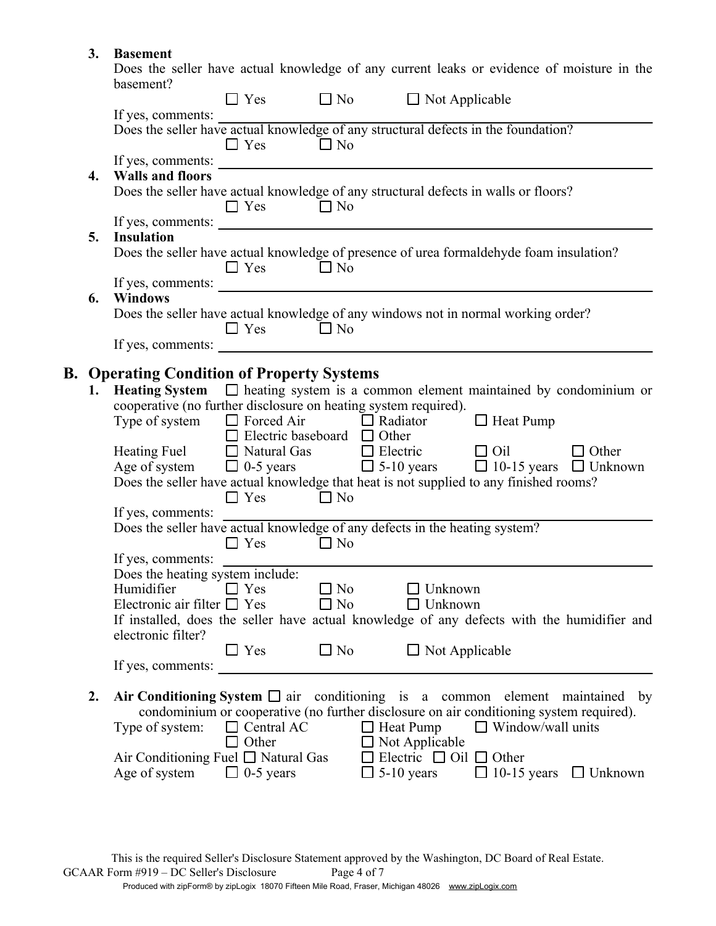# **3. Basement**

Does the seller have actual knowledge of any current leaks or evidence of moisture in the basement?

|                  | oasement?                                                                                                                                                                                             | $\Box$ Yes                                                                   | $\Box$ No              | $\Box$ Not Applicable                                                                                                                                                                                                                                                                                                                                                                                                                     |                                   |
|------------------|-------------------------------------------------------------------------------------------------------------------------------------------------------------------------------------------------------|------------------------------------------------------------------------------|------------------------|-------------------------------------------------------------------------------------------------------------------------------------------------------------------------------------------------------------------------------------------------------------------------------------------------------------------------------------------------------------------------------------------------------------------------------------------|-----------------------------------|
|                  | If yes, comments:                                                                                                                                                                                     | $\Box$ Yes                                                                   | $\Box$ No              | The yes, comments.<br>Does the seller have actual knowledge of any structural defects in the foundation?                                                                                                                                                                                                                                                                                                                                  |                                   |
| $\overline{4}$ . | <b>Walls and floors</b>                                                                                                                                                                               |                                                                              |                        | Does the seller have actual knowledge of any structural defects in walls or floors?                                                                                                                                                                                                                                                                                                                                                       |                                   |
| 5.               | If yes, comments:<br><b>Insulation</b>                                                                                                                                                                | $\Box$ Yes $\Box$ No                                                         |                        |                                                                                                                                                                                                                                                                                                                                                                                                                                           |                                   |
|                  |                                                                                                                                                                                                       | $\Box$ Yes                                                                   | $\Box$ No              | Does the seller have actual knowledge of presence of urea formaldehyde foam insulation?                                                                                                                                                                                                                                                                                                                                                   |                                   |
| 6.               | Windows                                                                                                                                                                                               | $\Box$ Yes                                                                   | $\Box$ No              | Does the seller have actual knowledge of any windows not in normal working order?                                                                                                                                                                                                                                                                                                                                                         |                                   |
|                  |                                                                                                                                                                                                       |                                                                              |                        |                                                                                                                                                                                                                                                                                                                                                                                                                                           |                                   |
|                  | <b>B. Operating Condition of Property Systems</b><br>cooperative (no further disclosure on heating system required).<br>Type of system $\Box$ Forced Air $\Box$ Radiator<br>If yes, comments:         | $\Box$ Electric baseboard $\Box$ Other<br>$\Box$ Yes $\Box$ No<br>$\Box$ Yes | $\Box$ No              | 1. Heating System $\Box$ heating system is a common element maintained by condominium or<br>$\Box$ Heat Pump<br>Heating Fuel $\Box$ Natural Gas $\Box$ Electric $\Box$ Oil<br>Age of system $\Box$ 0-5 years $\Box$ 5-10 years $\Box$ 10-15 years $\Box$ Unknown<br>Does the seller have actual knowledge that heat is not supplied to any finished rooms?<br>Does the seller have actual knowledge of any defects in the heating system? | $\Box$ Other                      |
|                  | If yes, comments:<br>Does the heating system include:<br>Humidifier<br>Electronic air filter $\Box$ Yes<br>electronic filter?<br>If yes, comments: $\frac{1}{\sqrt{1-\frac{1}{2}} \cdot \frac{1}{2}}$ | $\Box$ Yes                                                                   | $\Box$ No<br>$\Box$ No | $\Box$ Unknown<br>Unknown<br>If installed, does the seller have actual knowledge of any defects with the humidifier and<br>$\Box$ Yes $\Box$ No $\Box$ Not Applicable                                                                                                                                                                                                                                                                     |                                   |
| 2.               | Type of system:<br>Air Conditioning Fuel □ Natural Gas<br>Age of system $\Box$ 0-5 years                                                                                                              | $\Box$ Central AC<br>$\Box$ Other                                            |                        | Air Conditioning System $\Box$ air conditioning is a common element maintained by<br>condominium or cooperative (no further disclosure on air conditioning system required).<br>$\Box$ Heat Pump<br>$\Box$ Window/wall units<br>$\Box$ Not Applicable<br>$\Box$ Electric $\Box$ Oil $\Box$ Other<br>$\Box$ 5-10 years                                                                                                                     | $\Box$ 10-15 years $\Box$ Unknown |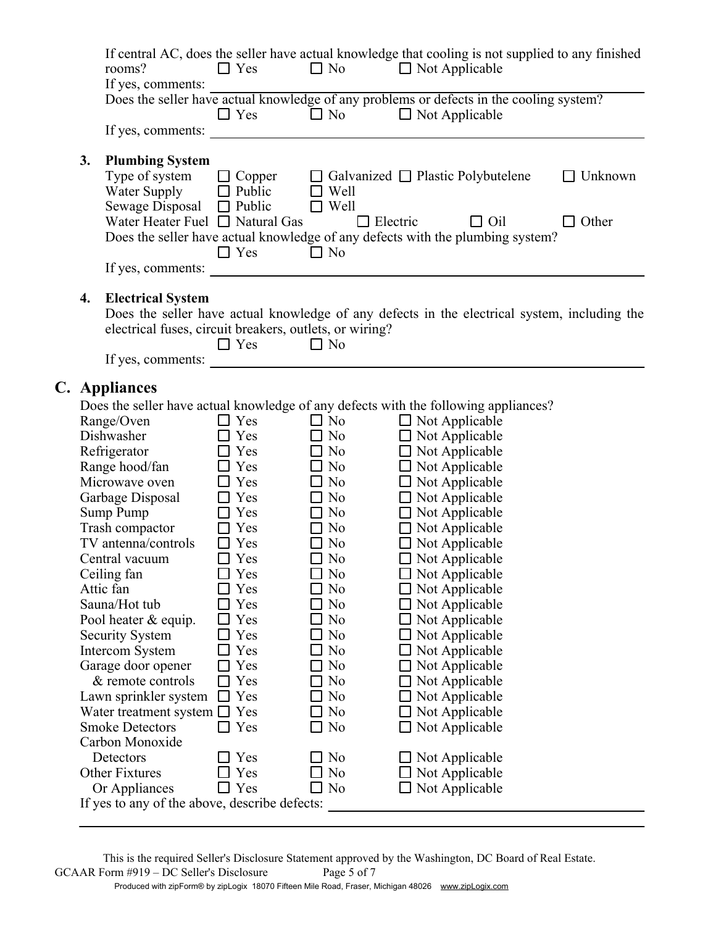|    | If central AC, does the seller have actual knowledge that cooling is not supplied to any finished<br>rooms?<br>If yes, comments:                                                                                                                       | $\Box$ Yes                                                                                                                                                                                                                                                          | $\Box$ No                                  |                 | $\Box$ Not Applicable                                       |                         |
|----|--------------------------------------------------------------------------------------------------------------------------------------------------------------------------------------------------------------------------------------------------------|---------------------------------------------------------------------------------------------------------------------------------------------------------------------------------------------------------------------------------------------------------------------|--------------------------------------------|-----------------|-------------------------------------------------------------|-------------------------|
|    | Does the seller have actual knowledge of any problems or defects in the cooling system?                                                                                                                                                                | $\Box$ Yes                                                                                                                                                                                                                                                          | $\Box$ No                                  |                 | $\Box$ Not Applicable                                       |                         |
|    | If yes, comments:                                                                                                                                                                                                                                      |                                                                                                                                                                                                                                                                     |                                            |                 |                                                             |                         |
| 3. | <b>Plumbing System</b><br>Type of system<br>Water Supply $\Box$ Public<br>Sewage Disposal $\Box$ Public<br>Water Heater Fuel $\Box$ Natural Gas<br>Does the seller have actual knowledge of any defects with the plumbing system?<br>If yes, comments: | $\Box$ Copper<br>$\Box$ Yes<br><u>and the company of the company of the company of the company of the company of the company of the company of the company of the company of the company of the company of the company of the company of the company of the com</u> | Well<br>$\Box$<br>$\Box$ Well<br>$\Box$ No | $\Box$ Electric | $\Box$ Galvanized $\Box$ Plastic Polybutelene<br>$\Box$ Oil | Unknown<br>$\Box$ Other |
| 4. | <b>Electrical System</b><br>Does the seller have actual knowledge of any defects in the electrical system, including the<br>electrical fuses, circuit breakers, outlets, or wiring?<br>If yes, comments:                                               | $\Box$ Yes                                                                                                                                                                                                                                                          | $\Box$ No                                  |                 |                                                             |                         |
|    | C. Appliances                                                                                                                                                                                                                                          |                                                                                                                                                                                                                                                                     |                                            |                 |                                                             |                         |
|    | Does the seller have actual knowledge of any defects with the following appliances?                                                                                                                                                                    |                                                                                                                                                                                                                                                                     |                                            |                 |                                                             |                         |
|    | Range/Oven                                                                                                                                                                                                                                             | $\Box$ Yes                                                                                                                                                                                                                                                          | $\Box$ No                                  |                 | $\Box$ Not Applicable                                       |                         |
|    | Dishwasher                                                                                                                                                                                                                                             | $\Box$ Yes                                                                                                                                                                                                                                                          | $\Box$ No                                  |                 | $\Box$ Not Applicable                                       |                         |
|    | Refrigerator                                                                                                                                                                                                                                           | $\Box$ Yes                                                                                                                                                                                                                                                          | $\Box$ No                                  |                 | $\Box$ Not Applicable                                       |                         |
|    | Range hood/fan                                                                                                                                                                                                                                         | $\Box$ Yes                                                                                                                                                                                                                                                          | $\Box$ No                                  |                 | $\Box$ Not Applicable                                       |                         |
|    | Microwave oven                                                                                                                                                                                                                                         | $\Box$ Yes                                                                                                                                                                                                                                                          | $\Box$ No                                  |                 | $\Box$ Not Applicable                                       |                         |
|    | Garbage Disposal                                                                                                                                                                                                                                       | $\Box$ Yes                                                                                                                                                                                                                                                          | $\Box$ No                                  |                 | $\Box$ Not Applicable                                       |                         |
|    | Sump Pump                                                                                                                                                                                                                                              | $\Box$ Yes                                                                                                                                                                                                                                                          | $\Box$ No                                  |                 | $\Box$ Not Applicable                                       |                         |
|    | Trash compactor                                                                                                                                                                                                                                        | $\Box$ Yes                                                                                                                                                                                                                                                          | $\Box$ No                                  |                 | $\Box$ Not Applicable                                       |                         |
|    | TV antenna/controls                                                                                                                                                                                                                                    | Yes                                                                                                                                                                                                                                                                 | $\Box$ No                                  |                 | $\Box$ Not Applicable                                       |                         |
|    | Central vacuum                                                                                                                                                                                                                                         | $\Box$ Yes                                                                                                                                                                                                                                                          | $\Box$ No                                  |                 | $\Box$ Not Applicable                                       |                         |
|    | Ceiling fan                                                                                                                                                                                                                                            | Yes                                                                                                                                                                                                                                                                 | N <sub>o</sub>                             |                 | Not Applicable                                              |                         |
|    | Attic fan                                                                                                                                                                                                                                              | Yes                                                                                                                                                                                                                                                                 | N <sub>0</sub>                             |                 | $\Box$ Not Applicable                                       |                         |
|    | Sauna/Hot tub                                                                                                                                                                                                                                          | Yes                                                                                                                                                                                                                                                                 | N <sub>0</sub>                             |                 | Not Applicable                                              |                         |
|    | Pool heater & equip.                                                                                                                                                                                                                                   | Yes                                                                                                                                                                                                                                                                 | N <sub>0</sub>                             |                 | Not Applicable                                              |                         |
|    | Security System                                                                                                                                                                                                                                        | Yes                                                                                                                                                                                                                                                                 | N <sub>0</sub>                             |                 | Not Applicable                                              |                         |
|    | <b>Intercom System</b>                                                                                                                                                                                                                                 | Yes                                                                                                                                                                                                                                                                 | N <sub>0</sub>                             |                 | Not Applicable                                              |                         |
|    | Garage door opener                                                                                                                                                                                                                                     | Yes                                                                                                                                                                                                                                                                 | N <sub>0</sub><br>$\blacksquare$           |                 | $\Box$ Not Applicable                                       |                         |
|    | & remote controls                                                                                                                                                                                                                                      | Yes                                                                                                                                                                                                                                                                 | N <sub>0</sub>                             |                 | Not Applicable                                              |                         |
|    | Lawn sprinkler system                                                                                                                                                                                                                                  | Yes                                                                                                                                                                                                                                                                 | N <sub>0</sub>                             |                 | Not Applicable                                              |                         |
|    | Water treatment system $\square$                                                                                                                                                                                                                       | Yes                                                                                                                                                                                                                                                                 | N <sub>o</sub>                             |                 | Not Applicable                                              |                         |
|    | <b>Smoke Detectors</b><br>Carbon Monoxide                                                                                                                                                                                                              | Yes                                                                                                                                                                                                                                                                 | N <sub>0</sub>                             |                 | Not Applicable                                              |                         |
|    | Detectors                                                                                                                                                                                                                                              | Yes                                                                                                                                                                                                                                                                 | N <sub>0</sub><br>$\blacksquare$           |                 |                                                             |                         |
|    | <b>Other Fixtures</b>                                                                                                                                                                                                                                  | Yes                                                                                                                                                                                                                                                                 | N <sub>0</sub>                             |                 | $\square$ Not Applicable                                    |                         |
|    | Or Appliances                                                                                                                                                                                                                                          | Yes                                                                                                                                                                                                                                                                 | N <sub>o</sub><br>$\Box$                   |                 | Not Applicable<br>$\Box$ Not Applicable                     |                         |
|    | If yes to any of the above, describe defects:                                                                                                                                                                                                          |                                                                                                                                                                                                                                                                     |                                            |                 |                                                             |                         |
|    |                                                                                                                                                                                                                                                        |                                                                                                                                                                                                                                                                     |                                            |                 |                                                             |                         |

This is the required Seller's Disclosure Statement approved by the Washington, DC Board of Real Estate.<br>Form #919 – DC Seller's Disclosure Page 5 of 7 GCAAR Form #919 – DC Seller's Disclosure Produced with zipForm® by zipLogix 18070 Fifteen Mile Road, Fraser, Michigan 48026 www.zipLogix.com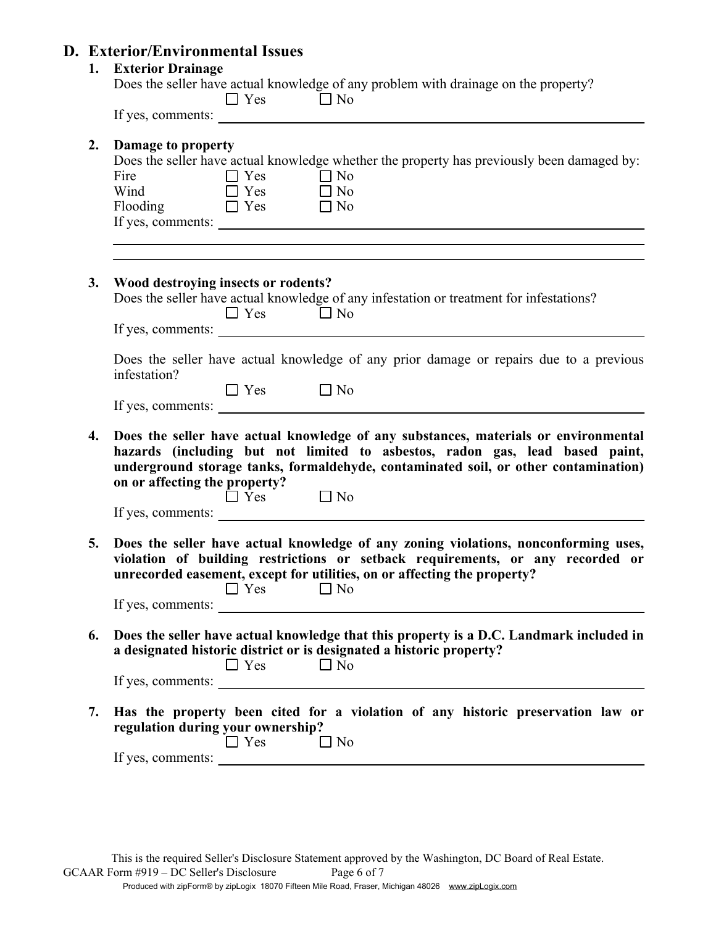# **D. Exterior/Environmental Issues**

| 1. | <b>Exterior Drainage</b><br>Does the seller have actual knowledge of any problem with drainage on the property?<br>$\Box$ No<br>$\Box$ Yes<br>If yes, comments:                                                                                                                                                                                                                                                             |
|----|-----------------------------------------------------------------------------------------------------------------------------------------------------------------------------------------------------------------------------------------------------------------------------------------------------------------------------------------------------------------------------------------------------------------------------|
| 2. | Damage to property<br>Does the seller have actual knowledge whether the property has previously been damaged by:<br>$\Box$ No<br>$\Box$ Yes<br>Fire<br>Wind $\Box$ Yes $\Box$ No<br>Flooding $\Box$ Yes $\Box$ No                                                                                                                                                                                                           |
| 3. | Wood destroying insects or rodents?<br>Does the seller have actual knowledge of any infestation or treatment for infestations?<br>$\Box$ No<br>$\Box$ Yes                                                                                                                                                                                                                                                                   |
|    | Does the seller have actual knowledge of any prior damage or repairs due to a previous<br>infestation?<br>$\Box$ Yes $\Box$ No                                                                                                                                                                                                                                                                                              |
| 4. | Does the seller have actual knowledge of any substances, materials or environmental<br>hazards (including but not limited to asbestos, radon gas, lead based paint,<br>underground storage tanks, formaldehyde, contaminated soil, or other contamination)<br>on or affecting the property?<br>$\Box$ No<br>$\Box$ Yes                                                                                                      |
| 5. | Does the seller have actual knowledge of any zoning violations, nonconforming uses,<br>violation of building restrictions or setback requirements, or any recorded or<br>unrecorded easement, except for utilities, on or affecting the property?<br>$\Box$ Yes<br>$\Box$ No<br>If yes, comments:<br><u> 1989 - John Stein, mars and de Branch and de Branch and de Branch and de Branch and de Branch and de Branch an</u> |
| 6. | Does the seller have actual knowledge that this property is a D.C. Landmark included in<br>a designated historic district or is designated a historic property?<br>$\Box$ Yes<br>$\Box$ No<br>If yes, comments:                                                                                                                                                                                                             |
| 7. | Has the property been cited for a violation of any historic preservation law or<br>regulation during your ownership?<br>$\Box$ Yes<br>$\Box$ No                                                                                                                                                                                                                                                                             |
|    |                                                                                                                                                                                                                                                                                                                                                                                                                             |